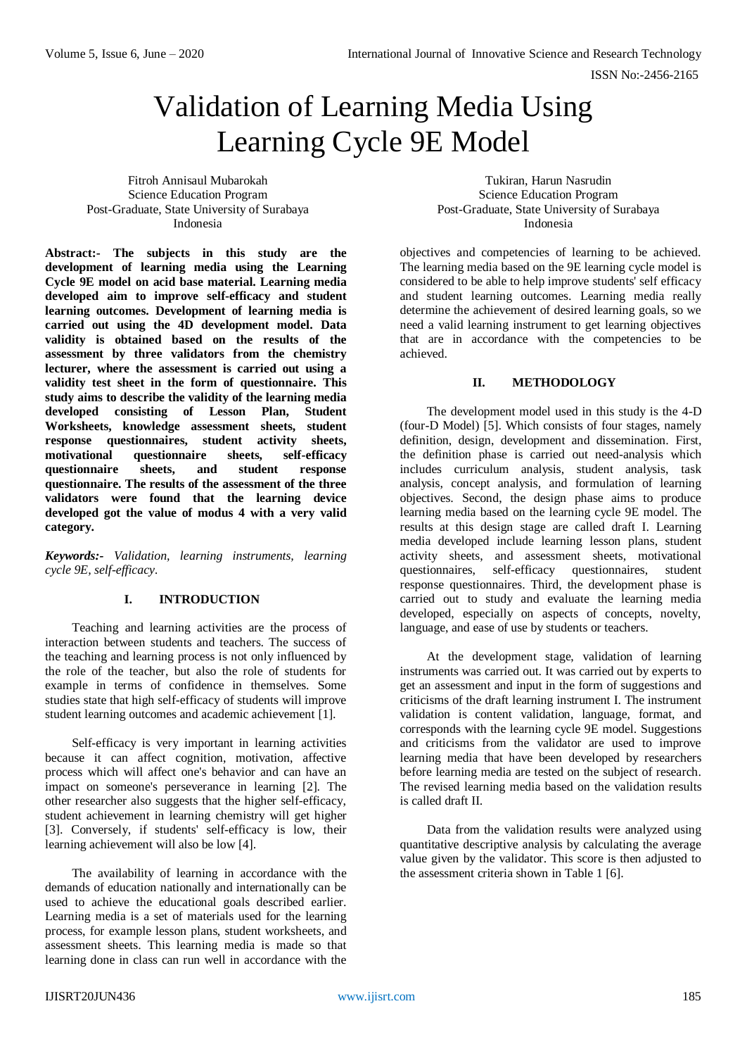# Validation of Learning Media Using Learning Cycle 9E Model

Fitroh Annisaul Mubarokah Science Education Program Post-Graduate, State University of Surabaya Indonesia

**Abstract:- The subjects in this study are the development of learning media using the Learning Cycle 9E model on acid base material. Learning media developed aim to improve self-efficacy and student learning outcomes. Development of learning media is carried out using the 4D development model. Data validity is obtained based on the results of the assessment by three validators from the chemistry lecturer, where the assessment is carried out using a validity test sheet in the form of questionnaire. This study aims to describe the validity of the learning media developed consisting of Lesson Plan, Student Worksheets, knowledge assessment sheets, student response questionnaires, student activity sheets, motivational questionnaire sheets, self-efficacy questionnaire sheets, and student response questionnaire. The results of the assessment of the three validators were found that the learning device developed got the value of modus 4 with a very valid category.**

*Keywords:- Validation, learning instruments, learning cycle 9E, self-efficacy.*

# **I. INTRODUCTION**

Teaching and learning activities are the process of interaction between students and teachers. The success of the teaching and learning process is not only influenced by the role of the teacher, but also the role of students for example in terms of confidence in themselves. Some studies state that high self-efficacy of students will improve student learning outcomes and academic achievement [1].

Self-efficacy is very important in learning activities because it can affect cognition, motivation, affective process which will affect one's behavior and can have an impact on someone's perseverance in learning [2]. The other researcher also suggests that the higher self-efficacy, student achievement in learning chemistry will get higher [3]. Conversely, if students' self-efficacy is low, their learning achievement will also be low [4].

The availability of learning in accordance with the demands of education nationally and internationally can be used to achieve the educational goals described earlier. Learning media is a set of materials used for the learning process, for example lesson plans, student worksheets, and assessment sheets. This learning media is made so that learning done in class can run well in accordance with the

Tukiran, Harun Nasrudin Science Education Program Post-Graduate, State University of Surabaya Indonesia

objectives and competencies of learning to be achieved. The learning media based on the 9E learning cycle model is considered to be able to help improve students' self efficacy and student learning outcomes. Learning media really determine the achievement of desired learning goals, so we need a valid learning instrument to get learning objectives that are in accordance with the competencies to be achieved.

### **II. METHODOLOGY**

The development model used in this study is the 4-D (four-D Model) [5]. Which consists of four stages, namely definition, design, development and dissemination. First, the definition phase is carried out need-analysis which includes curriculum analysis, student analysis, task analysis, concept analysis, and formulation of learning objectives. Second, the design phase aims to produce learning media based on the learning cycle 9E model. The results at this design stage are called draft I. Learning media developed include learning lesson plans, student activity sheets, and assessment sheets, motivational questionnaires, self-efficacy questionnaires, student response questionnaires. Third, the development phase is carried out to study and evaluate the learning media developed, especially on aspects of concepts, novelty, language, and ease of use by students or teachers.

At the development stage, validation of learning instruments was carried out. It was carried out by experts to get an assessment and input in the form of suggestions and criticisms of the draft learning instrument I. The instrument validation is content validation, language, format, and corresponds with the learning cycle 9E model. Suggestions and criticisms from the validator are used to improve learning media that have been developed by researchers before learning media are tested on the subject of research. The revised learning media based on the validation results is called draft II.

Data from the validation results were analyzed using quantitative descriptive analysis by calculating the average value given by the validator. This score is then adjusted to the assessment criteria shown in Table 1 [6].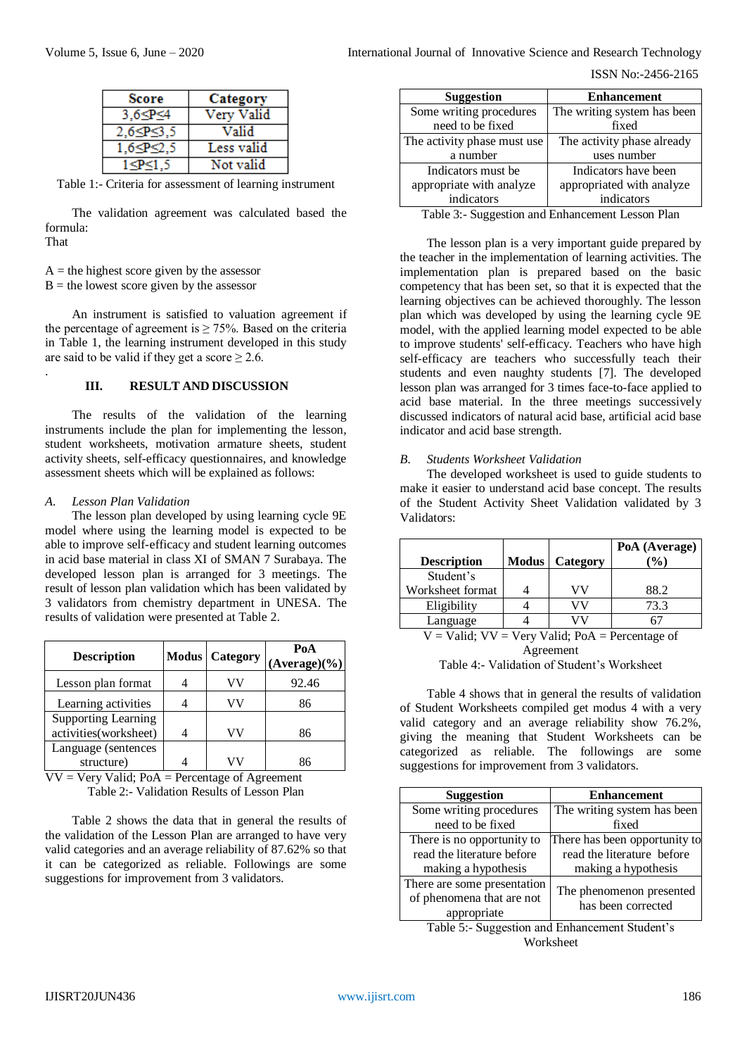#### ISSN No:-2456-2165

| <b>Score</b>        | Category   |
|---------------------|------------|
| $3.6 \leq P \leq 4$ | Very Valid |
| $2.6 \leq P \leq 3$ | Valid      |
|                     | Less valid |
|                     | Not valid  |

|  |  | Table 1:- Criteria for assessment of learning instrument |  |  |
|--|--|----------------------------------------------------------|--|--|
|--|--|----------------------------------------------------------|--|--|

The validation agreement was calculated based the formula:

That

.

 $A =$  the highest score given by the assessor

 $B =$  the lowest score given by the assessor

An instrument is satisfied to valuation agreement if the percentage of agreement is  $\geq$  75%. Based on the criteria in Table 1, the learning instrument developed in this study are said to be valid if they get a score  $\geq 2.6$ .

# **III. RESULT AND DISCUSSION**

The results of the validation of the learning instruments include the plan for implementing the lesson, student worksheets, motivation armature sheets, student activity sheets, self-efficacy questionnaires, and knowledge assessment sheets which will be explained as follows:

## *A. Lesson Plan Validation*

The lesson plan developed by using learning cycle 9E model where using the learning model is expected to be able to improve self-efficacy and student learning outcomes in acid base material in class XI of SMAN 7 Surabaya. The developed lesson plan is arranged for 3 meetings. The result of lesson plan validation which has been validated by 3 validators from chemistry department in UNESA. The results of validation were presented at Table 2.

| <b>Description</b>                                  | <b>Modus Category</b> | PoA<br>$(Average)(\%)$ |
|-----------------------------------------------------|-----------------------|------------------------|
| Lesson plan format                                  |                       | 92.46                  |
| Learning activities                                 | VV                    | 86                     |
| <b>Supporting Learning</b><br>activities(worksheet) |                       | 86                     |
| Language (sentences<br>structure)                   |                       | 86                     |

 $VV = V$ ery Valid; PoA = Percentage of Agreement Table 2:- Validation Results of Lesson Plan

Table 2 shows the data that in general the results of the validation of the Lesson Plan are arranged to have very valid categories and an average reliability of 87.62% so that it can be categorized as reliable. Followings are some suggestions for improvement from 3 validators.

| <b>Enhancement</b>          |
|-----------------------------|
| The writing system has been |
| fixed                       |
| The activity phase already  |
| uses number                 |
| Indicators have been        |
| appropriated with analyze   |
| indicators                  |
|                             |

Table 3:- Suggestion and Enhancement Lesson Plan

The lesson plan is a very important guide prepared by the teacher in the implementation of learning activities. The implementation plan is prepared based on the basic competency that has been set, so that it is expected that the learning objectives can be achieved thoroughly. The lesson plan which was developed by using the learning cycle 9E model, with the applied learning model expected to be able to improve students' self-efficacy. Teachers who have high self-efficacy are teachers who successfully teach their students and even naughty students [7]. The developed lesson plan was arranged for 3 times face-to-face applied to acid base material. In the three meetings successively discussed indicators of natural acid base, artificial acid base indicator and acid base strength.

## *B. Students Worksheet Validation*

The developed worksheet is used to guide students to make it easier to understand acid base concept. The results of the Student Activity Sheet Validation validated by 3 Validators:

|                                                 |              |          | PoA (Average) |
|-------------------------------------------------|--------------|----------|---------------|
| <b>Description</b>                              | <b>Modus</b> | Category | $\frac{1}{2}$ |
| Student's                                       |              |          |               |
| Worksheet format                                |              | ЛV       | 88.2          |
| Eligibility                                     |              |          | 73.3          |
| Language                                        |              |          |               |
| V = Valid: VV = Very Valid: PoA = Percentage of |              |          |               |

 $=$  Valid; VV  $=$  Very Valid; PoA  $=$  Percentage of Agreement

Table 4 shows that in general the results of validation of Student Worksheets compiled get modus 4 with a very valid category and an average reliability show 76.2%, giving the meaning that Student Worksheets can be categorized as reliable. The followings are some suggestions for improvement from 3 validators.

| <b>Suggestion</b>           | <b>Enhancement</b>            |
|-----------------------------|-------------------------------|
| Some writing procedures     | The writing system has been   |
| need to be fixed            | fixed                         |
| There is no opportunity to  | There has been opportunity to |
| read the literature before  | read the literature before    |
| making a hypothesis         | making a hypothesis           |
| There are some presentation | The phenomenon presented      |
| of phenomena that are not   | has been corrected            |
| appropriate                 |                               |

Table 5:- Suggestion and Enhancement Student's Worksheet

Table 4:- Validation of Student's Worksheet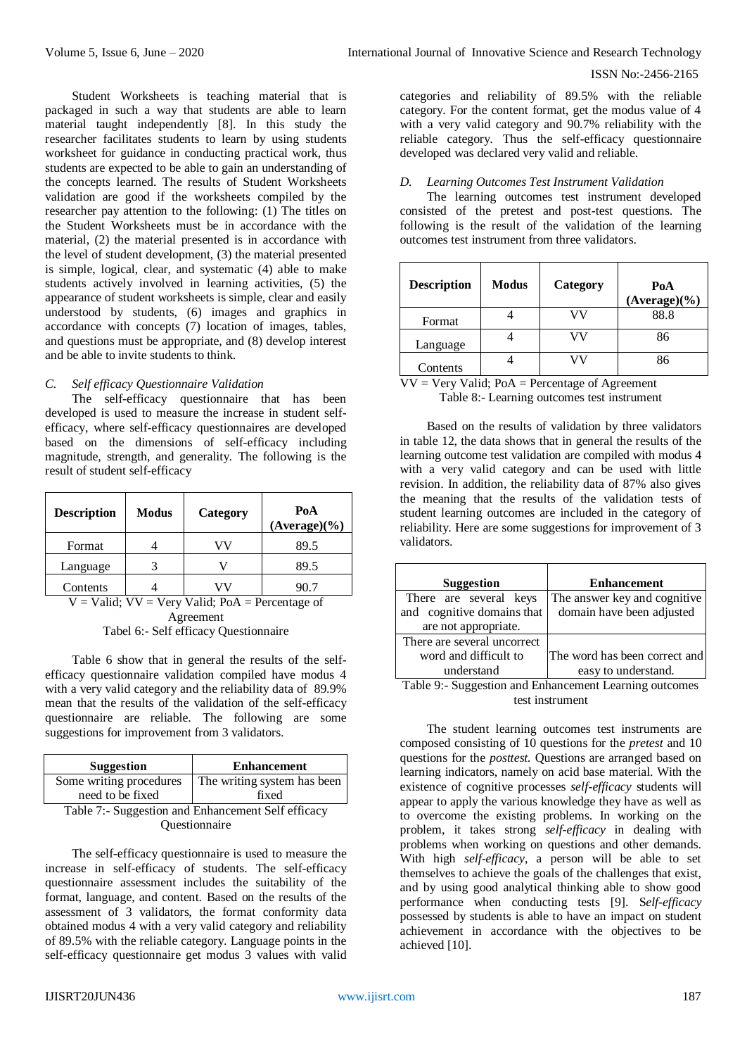## ISSN No:-2456-2165

Student Worksheets is teaching material that is packaged in such a way that students are able to learn material taught independently [8]. In this study the researcher facilitates students to learn by using students worksheet for guidance in conducting practical work, thus students are expected to be able to gain an understanding of the concepts learned. The results of Student Worksheets validation are good if the worksheets compiled by the researcher pay attention to the following: (1) The titles on the Student Worksheets must be in accordance with the material, (2) the material presented is in accordance with the level of student development, (3) the material presented is simple, logical, clear, and systematic (4) able to make students actively involved in learning activities, (5) the appearance of student worksheets is simple, clear and easily understood by students, (6) images and graphics in accordance with concepts (7) location of images, tables, and questions must be appropriate, and (8) develop interest and be able to invite students to think.

## *C. Self efficacy Questionnaire Validation*

The self-efficacy questionnaire that has been developed is used to measure the increase in student selfefficacy, where self-efficacy questionnaires are developed based on the dimensions of self-efficacy including magnitude, strength, and generality. The following is the result of student self-efficacy

| <b>Description</b> | <b>Modus</b> | Category | PoA<br>$(Average)(\%)$ |
|--------------------|--------------|----------|------------------------|
| Format             |              |          | 89.5                   |
| Language           |              |          | 89.5                   |
| Contents           |              |          | 90.7                   |

 $V =$  Valid;  $VV =$  Very Valid; PoA = Percentage of Agreement

Tabel 6:- Self efficacy Questionnaire

Table 6 show that in general the results of the selfefficacy questionnaire validation compiled have modus 4 with a very valid category and the reliability data of 89.9% mean that the results of the validation of the self-efficacy questionnaire are reliable. The following are some suggestions for improvement from 3 validators.

| Suggestion                                        | <b>Enhancement</b>          |  |
|---------------------------------------------------|-----------------------------|--|
| Some writing procedures                           | The writing system has been |  |
| need to be fixed                                  | fixed                       |  |
| Teble 7: Succession and Enhancement Self officeau |                             |  |

Table 7:- Suggestion and Enhancement Self efficacy Questionnaire

The self-efficacy questionnaire is used to measure the increase in self-efficacy of students. The self-efficacy questionnaire assessment includes the suitability of the format, language, and content. Based on the results of the assessment of 3 validators, the format conformity data obtained modus 4 with a very valid category and reliability of 89.5% with the reliable category. Language points in the self-efficacy questionnaire get modus 3 values with valid

categories and reliability of 89.5% with the reliable category. For the content format, get the modus value of 4 with a very valid category and 90.7% reliability with the reliable category. Thus the self-efficacy questionnaire developed was declared very valid and reliable.

## *D. Learning Outcomes Test Instrument Validation*

The learning outcomes test instrument developed consisted of the pretest and post-test questions. The following is the result of the validation of the learning outcomes test instrument from three validators.

| <b>Description</b> | Modus | Category | PoA<br>$(Average)(\%)$ |
|--------------------|-------|----------|------------------------|
| Format             |       |          | 88.8                   |
| Language           |       |          | 86                     |
| Contents           |       |          | 86                     |

 $VV = V$ ery Valid; PoA = Percentage of Agreement Table 8:- Learning outcomes test instrument

Based on the results of validation by three validators in table 12, the data shows that in general the results of the learning outcome test validation are compiled with modus 4 with a very valid category and can be used with little revision. In addition, the reliability data of 87% also gives the meaning that the results of the validation tests of student learning outcomes are included in the category of reliability. Here are some suggestions for improvement of 3 validators.

| <b>Suggestion</b>           | <b>Enhancement</b>                                          |
|-----------------------------|-------------------------------------------------------------|
| There are several keys      | The answer key and cognitive                                |
| and cognitive domains that  | domain have been adjusted                                   |
| are not appropriate.        |                                                             |
| There are several uncorrect |                                                             |
| word and difficult to       | The word has been correct and                               |
| understand                  | easy to understand.                                         |
|                             | Table 0. Concernation and Eulers consent Logaring automates |

Table 9:- Suggestion and Enhancement Learning outcomes test instrument

The student learning outcomes test instruments are composed consisting of 10 questions for the *pretest* and 10 questions for the *posttest.* Questions are arranged based on learning indicators, namely on acid base material. With the existence of cognitive processes *self-efficacy* students will appear to apply the various knowledge they have as well as to overcome the existing problems. In working on the problem, it takes strong *self-efficacy* in dealing with problems when working on questions and other demands. With high *self-efficacy*, a person will be able to set themselves to achieve the goals of the challenges that exist, and by using good analytical thinking able to show good performance when conducting tests [9]. S*elf-efficacy* possessed by students is able to have an impact on student achievement in accordance with the objectives to be achieved [10].